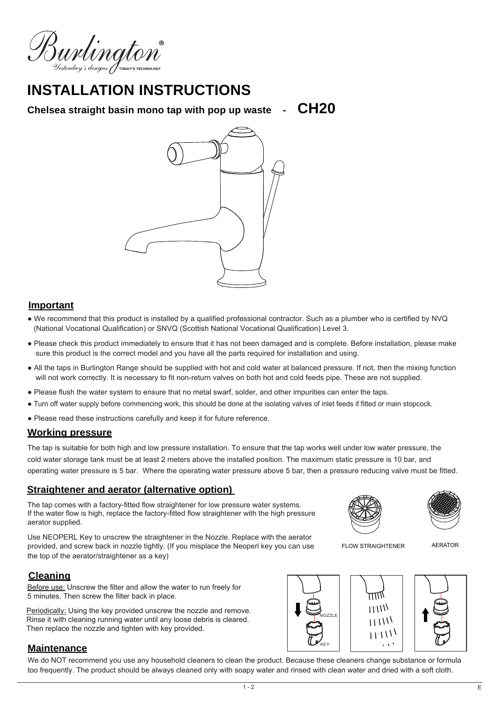Burlington

# **INSTALLATION INSTRUCTIONS**

**Chelsea straight basin mono tap with pop up waste - CH20**



## **Important**

- We recommend that this product is installed by a qualified professional contractor. Such as a plumber who is certified by NVQ (National Vocational Qualification) or SNVQ (Scottish National Vocational Qualification) Level 3.
- Please check this product immediately to ensure that it has not been damaged and is complete. Before installation, please make sure this product is the correct model and you have all the parts required for installation and using.
- All the taps in Burlington Range should be supplied with hot and cold water at balanced pressure. If not, then the mixing function will not work correctly. It is necessary to fit non-return valves on both hot and cold feeds pipe. These are not supplied.
- Please flush the water system to ensure that no metal swarf, solder, and other impurities can enter the taps.
- Turn off water supply before commencing work, this should be done at the isolating valves of inlet feeds if fitted or main stopcock.
- Please read these instructions carefully and keep it for future reference.

## **Working pressure**

The tap is suitable for both high and low pressure installation. To ensure that the tap works well under low water pressure, the cold water storage tank must be at least 2 meters above the installed position. The maximum static pressure is 10 bar, and operating water pressure is 5 bar. Where the operating water pressure above 5 bar, then a pressure reducing valve must be fitted.

## **Straightener and aerator (alternative option)**

The tap comes with a factory-fitted flow straightener for low pressure water systems. If the water flow is high, replace the factory-fitted flow straightener with the high pressure aerator supplied.

Use NEOPERL Key to unscrew the straightener in the Nozzle. Replace with the aerator provided, and screw back in nozzle tightly. (If you misplace the Neoperl key you can use the top of the aerator/straightener as a key)

## **Cleaning**

Before use: Unscrew the filter and allow the water to run freely for 5 minutes. Then screw the filter back in place.

Periodically: Using the key provided unscrew the nozzle and remove. Rinse it with cleaning running water until any loose debris is cleared. Then replace the nozzle and tighten with key provided.

## **Maintenance**

We do NOT recommend you use any household cleaners to clean the product. Because these cleaners change substance or formula too frequently. The product should be always cleaned only with soapy water and rinsed with clean water and dried with a soft cloth.





FLOW STRAIGHTENER

AERATOR



#### $1 - 2$